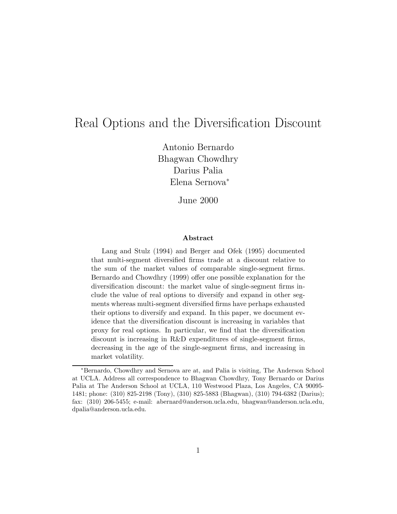# Real Options and the Diversification Discount

Antonio Bernardo Bhagwan Chowdhry Darius Palia Elena Sernova ¤

June 2000

#### **Abstract**

Lang and Stulz (1994) and Berger and Ofek (1995) documented that multi-segment diversified firms trade at a discount relative to the sum of the market values of comparable single-segment firms. Bernardo and Chowdhry (1999) offer one possible explanation for the diversification discount: the market value of single-segment firms include the value of real options to diversify and expand in other segments whereas multi-segment diversified firms have perhaps exhausted their options to diversify and expand. In this paper, we document evidence that the diversification discount is increasing in variables that proxy for real options. In particular, we find that the diversification discount is increasing in R&D expenditures of single-segment firms, decreasing in the age of the single-segment firms, and increasing in market volatility.

<sup>¤</sup>Bernardo, Chowdhry and Sernova are at, and Palia is visiting, The Anderson School at UCLA. Address all correspondence to Bhagwan Chowdhry, Tony Bernardo or Darius Palia at The Anderson School at UCLA, 110 Westwood Plaza, Los Angeles, CA 90095- 1481; phone: (310) 825-2198 (Tony), (310) 825-5883 (Bhagwan), (310) 794-6382 (Darius); fax: (310) 206-5455; e-mail: abernard@anderson.ucla.edu, bhagwan@anderson.ucla.edu, dpalia@anderson.ucla.edu.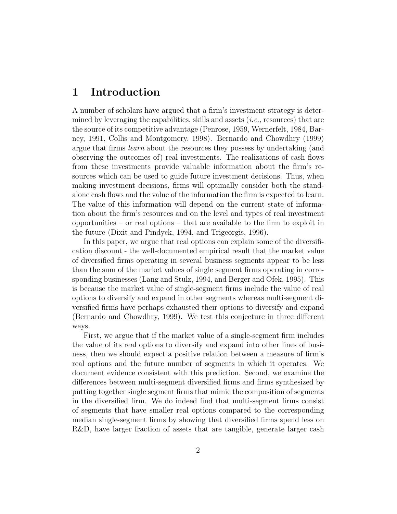# 1 Introduction

A number of scholars have argued that a firm's investment strategy is determined by leveraging the capabilities, skills and assets (i.e., resources) that are the source of its competitive advantage (Penrose, 1959, Wernerfelt, 1984, Barney, 1991, Collis and Montgomery, 1998). Bernardo and Chowdhry (1999) argue that firms *learn* about the resources they possess by undertaking (and observing the outcomes of) real investments. The realizations of cash flows from these investments provide valuable information about the firm's resources which can be used to guide future investment decisions. Thus, when making investment decisions, firms will optimally consider both the standalone cash flows and the value of the information the firm is expected to learn. The value of this information will depend on the current state of information about the firm's resources and on the level and types of real investment opportunities  $-$  or real options  $-$  that are available to the firm to exploit in the future (Dixit and Pindyck, 1994, and Trigeorgis, 1996).

In this paper, we argue that real options can explain some of the diversification discount - the well-documented empirical result that the market value of diversified firms operating in several business segments appear to be less than the sum of the market values of single segment firms operating in corresponding businesses (Lang and Stulz, 1994, and Berger and Ofek, 1995). This is because the market value of single-segment firms include the value of real options to diversify and expand in other segments whereas multi-segment diversified firms have perhaps exhausted their options to diversify and expand (Bernardo and Chowdhry, 1999). We test this conjecture in three different ways.

First, we argue that if the market value of a single-segment firm includes the value of its real options to diversify and expand into other lines of business, then we should expect a positive relation between a measure of firm's real options and the future number of segments in which it operates. We document evidence consistent with this prediction. Second, we examine the differences between multi-segment diversified firms and firms synthesized by putting together single segment firms that mimic the composition of segments in the diversified firm. We do indeed find that multi-segment firms consist of segments that have smaller real options compared to the corresponding median single-segment firms by showing that diversified firms spend less on R&D, have larger fraction of assets that are tangible, generate larger cash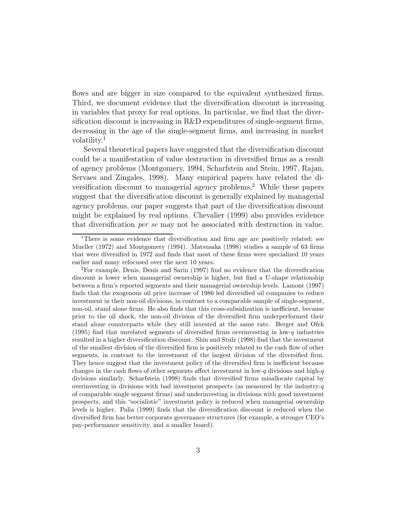flows and are bigger in size compared to the equivalent synthesized firms. Third, we document evidence that the diversification discount is increasing in variables that proxy for real options. In particular, we find that the diversification discount is increasing in  $R\&D$  expenditures of single-segment firms, decreasing in the age of the single-segment firms, and increasing in market volatility. 1

Several theoretical papers have suggested that the diversification discount could be a manifestation of value destruction in diversified firms as a result of agency problems (Montgomery, 1994, Scharfstein and Stein, 1997, Rajan, Servaes and Zingales, 1998). Many empirical papers have related the diversification discount to managerial agency problems.<sup>2</sup> While these papers suggest that the diversification discount is generally explained by managerial agency problems, our paper suggests that part of the diversification discount might be explained by real options. Chevalier (1999) also provides evidence that diversification *per se* may not be associated with destruction in value.

<sup>&</sup>lt;sup>1</sup>There is some evidence that diversification and firm age are positively related; see Mueller  $(1972)$  and Montgomery  $(1994)$ . Matsusaka  $(1998)$  studies a sample of 63 firms that were diversified in 1972 and finds that most of these firms were specialized 10 years earlier and many refocused over the next 10 years.

 ${}^{2}$ For example, Denis, Denis and Sarin (1997) find no evidence that the diversification discount is lower when managerial ownership is higher, but find a U-shape relationship between a firm's reported segments and their managerial ownership levels. Lamont (1997) finds that the exogenous oil price increase of 1986 led diversified oil companies to reduce investment in their non-oil divisions, in contrast to a comparable sample of single-segment, non-oil, stand alone firms. He also finds that this cross-subsidization is inefficient, because prior to the oil shock, the non-oil division of the diversified firm underperformed their stand alone counterparts while they still invested at the same rate. Berger and Ofek (1995) find that unrelated segments of diversified firms overinvesting in low-q industries resulted in a higher diversification discount. Shin and Stulz (1998) find that the investment of the smallest division of the diversified firm is positively related to the cash flow of other segments, in contrast to the investment of the largest division of the diversified firm. They hence suggest that the investment policy of the diversified firm is inefficient because changes in the cash flows of other segments affect investment in low-q divisions and high-q divisions similarly. Scharfstein (1998) finds that diversified firms misallocate capital by overinvesting in divisions with bad investment prospects (as measured by the industry- $q$ of comparable single segment firms) and underinvesting in divisions with good investment prospects, and this "socialistic" investment policy is reduced when managerial ownership levels is higher. Palia (1999) finds that the diversification discount is reduced when the diversified firm has better corporate governance structures (for example, a stronger CEO's pay-performance sensitivity, and a smaller board).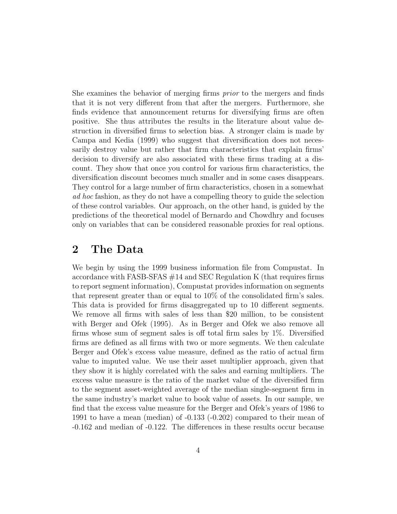She examines the behavior of merging firms  $prior$  to the mergers and finds that it is not very different from that after the mergers. Furthermore, she finds evidence that announcement returns for diversifying firms are often positive. She thus attributes the results in the literature about value destruction in diversified firms to selection bias. A stronger claim is made by Campa and Kedia (1999) who suggest that diversification does not necessarily destroy value but rather that firm characteristics that explain firms' decision to diversify are also associated with these firms trading at a discount. They show that once you control for various firm characteristics, the diversification discount becomes much smaller and in some cases disappears. They control for a large number of firm characteristics, chosen in a somewhat ad hoc fashion, as they do not have a compelling theory to guide the selection of these control variables. Our approach, on the other hand, is guided by the predictions of the theoretical model of Bernardo and Chowdhry and focuses only on variables that can be considered reasonable proxies for real options.

### 2 The Data

We begin by using the 1999 business information file from Compustat. In accordance with FASB-SFAS  $#14$  and SEC Regulation K (that requires firms to report segment information), Compustat provides information on segments that represent greater than or equal to  $10\%$  of the consolidated firm's sales. This data is provided for firms disaggregated up to 10 different segments. We remove all firms with sales of less than \$20 million, to be consistent with Berger and Ofek (1995). As in Berger and Ofek we also remove all firms whose sum of segment sales is off total firm sales by  $1\%$ . Diversified firms are defined as all firms with two or more segments. We then calculate Berger and Ofek's excess value measure, defined as the ratio of actual firm value to imputed value. We use their asset multiplier approach, given that they show it is highly correlated with the sales and earning multipliers. The excess value measure is the ratio of the market value of the diversified firm to the segment asset-weighted average of the median single-segment firm in the same industry's market value to book value of assets. In our sample, we find that the excess value measure for the Berger and Ofek's years of 1986 to 1991 to have a mean (median) of -0.133 (-0.202) compared to their mean of -0.162 and median of -0.122. The differences in these results occur because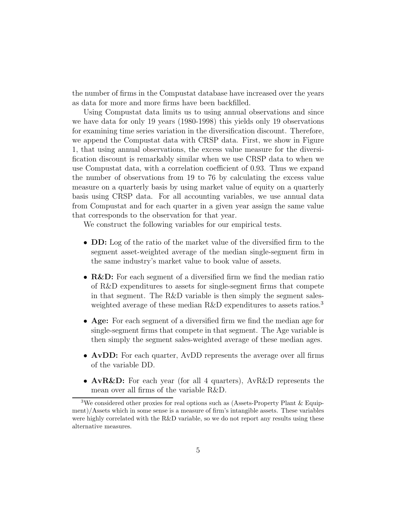the number of firms in the Compustat database have increased over the years as data for more and more firms have been backfilled.

Using Compustat data limits us to using annual observations and since we have data for only 19 years (1980-1998) this yields only 19 observations for examining time series variation in the diversification discount. Therefore, we append the Compustat data with CRSP data. First, we show in Figure 1, that using annual observations, the excess value measure for the diversi fication discount is remarkably similar when we use CRSP data to when we use Compustat data, with a correlation coefficient of 0.93. Thus we expand the number of observations from 19 to 76 by calculating the excess value measure on a quarterly basis by using market value of equity on a quarterly basis using CRSP data. For all accounting variables, we use annual data from Compustat and for each quarter in a given year assign the same value that corresponds to the observation for that year.

We construct the following variables for our empirical tests.

- DD: Log of the ratio of the market value of the diversified firm to the segment asset-weighted average of the median single-segment firm in the same industry's market value to book value of assets.
- $R\&D$ : For each segment of a diversified firm we find the median ratio of R&D expenditures to assets for single-segment firms that compete in that segment. The R&D variable is then simply the segment salesweighted average of these median R&D expenditures to assets ratios.<sup>3</sup>
- Age: For each segment of a diversified firm we find the median age for single-segment firms that compete in that segment. The Age variable is then simply the segment sales-weighted average of these median ages.
- $\bullet$  AvDD: For each quarter, AvDD represents the average over all firms of the variable DD.
- AvR&D: For each year (for all 4 quarters), AvR&D represents the mean over all firms of the variable  $R&D$ .

<sup>&</sup>lt;sup>3</sup>We considered other proxies for real options such as (Assets-Property Plant & Equip $ment)/Assets$  which in some sense is a measure of firm's intangible assets. These variables were highly correlated with the R&D variable, so we do not report any results using these alternative measures.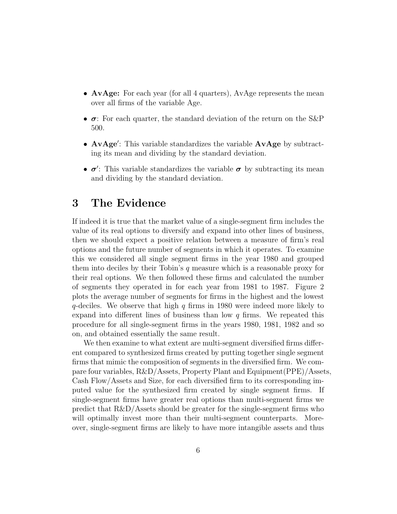- $AvAge:$  For each year (for all 4 quarters), AvAge represents the mean over all firms of the variable Age.
- $\bullet$   $\sigma$ : For each quarter, the standard deviation of the return on the S&P 500.
- AvAge': This variable standardizes the variable AvAge by subtracting its mean and dividing by the standard deviation.
- $\bullet$   $\sigma'$ : This variable standardizes the variable  $\sigma$  by subtracting its mean and dividing by the standard deviation.

## 3 The Evidence

If indeed it is true that the market value of a single-segment firm includes the value of its real options to diversify and expand into other lines of business, then we should expect a positive relation between a measure of firm's real options and the future number of segments in which it operates. To examine this we considered all single segment firms in the year 1980 and grouped them into deciles by their Tobin's  $q$  measure which is a reasonable proxy for their real options. We then followed these firms and calculated the number of segments they operated in for each year from 1981 to 1987. Figure 2 plots the average number of segments for firms in the highest and the lowest  $q$ -deciles. We observe that high q firms in 1980 were indeed more likely to expand into different lines of business than low  $q$  firms. We repeated this procedure for all single-segment ¯rms in the years 1980, 1981, 1982 and so on, and obtained essentially the same result.

We then examine to what extent are multi-segment diversified firms different compared to synthesized firms created by putting together single segment firms that mimic the composition of segments in the diversified firm. We compare four variables, R&D/Assets, Property Plant and Equipment(PPE)/Assets, Cash Flow/Assets and Size, for each diversified firm to its corresponding imputed value for the synthesized firm created by single segment firms. If single-segment firms have greater real options than multi-segment firms we predict that  $R\&D/Assets$  should be greater for the single-segment firms who will optimally invest more than their multi-segment counterparts. Moreover, single-segment firms are likely to have more intangible assets and thus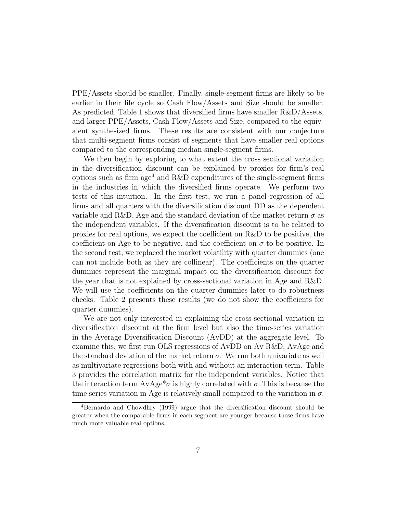PPE/Assets should be smaller. Finally, single-segment firms are likely to be earlier in their life cycle so Cash Flow/Assets and Size should be smaller. As predicted, Table 1 shows that diversified firms have smaller  $R&D/A$ ssets, and larger PPE/Assets, Cash Flow/Assets and Size, compared to the equivalent synthesized firms. These results are consistent with our conjecture that multi-segment firms consist of segments that have smaller real options compared to the corresponding median single-segment firms.

We then begin by exploring to what extent the cross sectional variation in the diversification discount can be explained by proxies for firm's real options such as firm  $age<sup>4</sup>$  and R&D expenditures of the single-segment firms in the industries in which the diversified firms operate. We perform two tests of this intuition. In the first test, we run a panel regression of all firms and all quarters with the diversification discount DD as the dependent variable and R&D, Age and the standard deviation of the market return  $\sigma$  as the independent variables. If the diversification discount is to be related to proxies for real options, we expect the coefficient on  $R&D$  to be positive, the coefficient on Age to be negative, and the coefficient on  $\sigma$  to be positive. In the second test, we replaced the market volatility with quarter dummies (one can not include both as they are collinear). The coefficients on the quarter dummies represent the marginal impact on the diversification discount for the year that is not explained by cross-sectional variation in Age and R&D. We will use the coefficients on the quarter dummies later to do robustness checks. Table 2 presents these results (we do not show the coefficients for quarter dummies).

We are not only interested in explaining the cross-sectional variation in diversification discount at the firm level but also the time-series variation in the Average Diversification Discount  $(AvDD)$  at the aggregate level. To examine this, we first run OLS regressions of AvDD on Av R&D, AvAge and the standard deviation of the market return  $\sigma$ . We run both univariate as well as multivariate regressions both with and without an interaction term. Table 3 provides the correlation matrix for the independent variables. Notice that the interaction term  $AvAge^*\sigma$  is highly correlated with  $\sigma$ . This is because the time series variation in Age is relatively small compared to the variation in  $\sigma$ .

 $4Bernardo$  and Chowdhry (1999) argue that the diversification discount should be greater when the comparable firms in each segment are younger because these firms have much more valuable real options.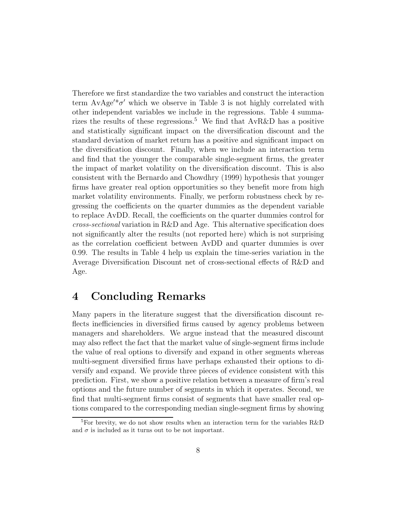Therefore we first standardize the two variables and construct the interaction term  $AvAge'^*\sigma'$  which we observe in Table 3 is not highly correlated with other independent variables we include in the regressions. Table 4 summarizes the results of these regressions.<sup>5</sup> We find that  $AvR\&D$  has a positive and statistically significant impact on the diversification discount and the standard deviation of market return has a positive and significant impact on the diversification discount. Finally, when we include an interaction term and find that the younger the comparable single-segment firms, the greater the impact of market volatility on the diversification discount. This is also consistent with the Bernardo and Chowdhry (1999) hypothesis that younger firms have greater real option opportunities so they benefit more from high market volatility environments. Finally, we perform robustness check by regressing the coefficients on the quarter dummies as the dependent variable to replace AvDD. Recall, the coefficients on the quarter dummies control for  $cross-sectional$  variation in R&D and Age. This alternative specification does not significantly alter the results (not reported here) which is not surprising as the correlation coefficient between AvDD and quarter dummies is over 0.99. The results in Table 4 help us explain the time-series variation in the Average Diversification Discount net of cross-sectional effects of R&D and Age.

# 4 Concluding Remarks

Many papers in the literature suggest that the diversification discount reflects inefficiencies in diversified firms caused by agency problems between managers and shareholders. We argue instead that the measured discount may also reflect the fact that the market value of single-segment firms include the value of real options to diversify and expand in other segments whereas multi-segment diversified firms have perhaps exhausted their options to diversify and expand. We provide three pieces of evidence consistent with this prediction. First, we show a positive relation between a measure of firm's real options and the future number of segments in which it operates. Second, we find that multi-segment firms consist of segments that have smaller real options compared to the corresponding median single-segment firms by showing

<sup>&</sup>lt;sup>5</sup>For brevity, we do not show results when an interaction term for the variables R&D and  $\sigma$  is included as it turns out to be not important.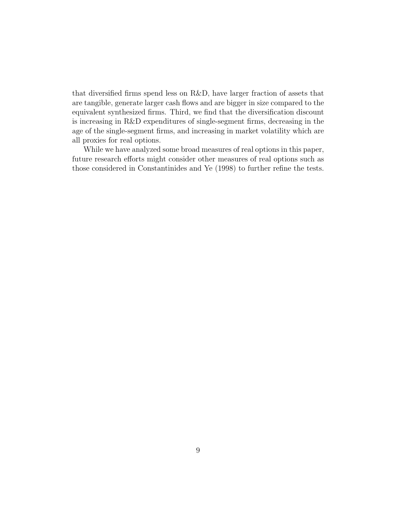that diversified firms spend less on  $R&D$ , have larger fraction of assets that are tangible, generate larger cash flows and are bigger in size compared to the equivalent synthesized firms. Third, we find that the diversification discount is increasing in  $R&D$  expenditures of single-segment firms, decreasing in the age of the single-segment firms, and increasing in market volatility which are all proxies for real options.

While we have analyzed some broad measures of real options in this paper, future research efforts might consider other measures of real options such as those considered in Constantinides and Ye (1998) to further refine the tests.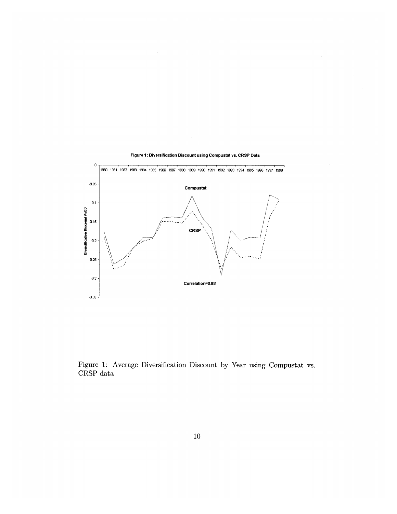

Figure 1: Diversification Discount using Compustat vs. CRSP Data

Figure 1: Average Diversification Discount by Year using Compustat vs.  $\ensuremath{\mathsf{CRSP}}$  data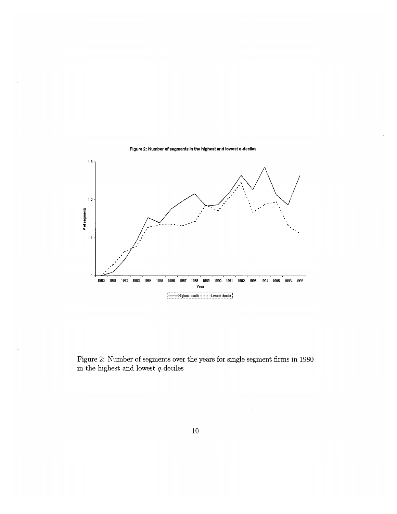

Figure 2: Number of segments over the years for single segment firms in  $1980\,$ in the highest and lowest  $q\mbox{-deciles}$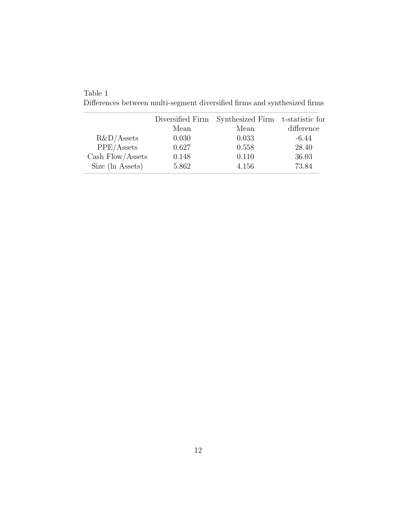|                    | Diversified Firm | Synthesized Firm t-statistic for |            |
|--------------------|------------------|----------------------------------|------------|
|                    | Mean             | Mean                             | difference |
| $R&D/A$ ssets      | 0.030            | 0.033                            | $-6.44$    |
| PPE/Assets         | 0.627            | 0.558                            | 28.40      |
| Cash $Flow/Assets$ | 0.148            | 0.110                            | 36.03      |
| Size (ln Assets)   | 5.862            | 4.156                            | 73.84      |

Table 1  $\mbox{Differences between multi-segment diversified firms and synthesized firms}$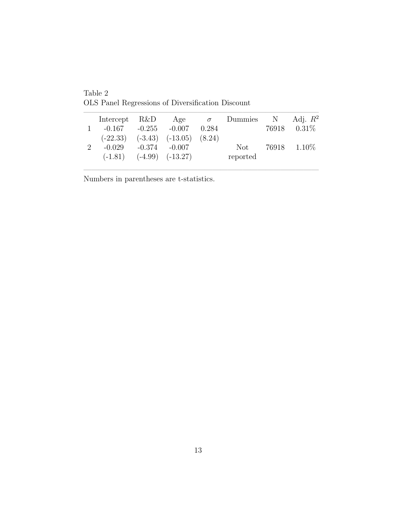|   | Intercept R&D |          | Age                                      | $\sigma$ | Dummies  | $\mathbf N$ | Adj. $R^2$ |
|---|---------------|----------|------------------------------------------|----------|----------|-------------|------------|
|   | $-0.167$      |          | $-0.255 - 0.007$                         | 0.284    |          | 76918       | $0.31\%$   |
|   |               |          | $(-22.33)$ $(-3.43)$ $(-13.05)$ $(8.24)$ |          |          |             |            |
| 9 | $-0.029$      | $-0.374$ | $-0.007$                                 |          | Not.     | 76918       | $1.10\%$   |
|   | $(-1.81)$     |          | $(-4.99)$ $(-13.27)$                     |          | reported |             |            |
|   |               |          |                                          |          |          |             |            |

|||||||||||||||||||||||||||||||

Table 2 OLS Panel Regressions of Diversification Discount

Numbers in parentheses are t-statistics.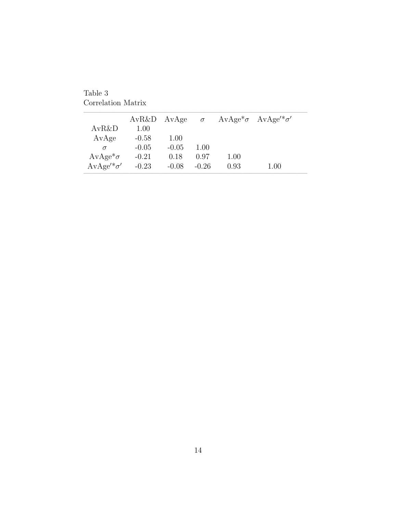Table 3 Correlation Matrix

|                   | $AvR&D$ $AvAge$ |         | $\sigma$ |      | $AvAge^* \sigma$ $AvAge'^* \sigma'$ |
|-------------------|-----------------|---------|----------|------|-------------------------------------|
| AvR&D             | 1.00            |         |          |      |                                     |
| AvAge             | $-0.58$         | 1.00    |          |      |                                     |
| $\sigma$          | $-0.05$         | $-0.05$ | 1.00     |      |                                     |
| $AvAge^*\sigma$   | $-0.21$         | 0.18    | 0.97     | 1.00 |                                     |
| $AvAge'^*\sigma'$ | $-0.23$         | $-0.08$ | $-0.26$  | 0.93 | 1.00                                |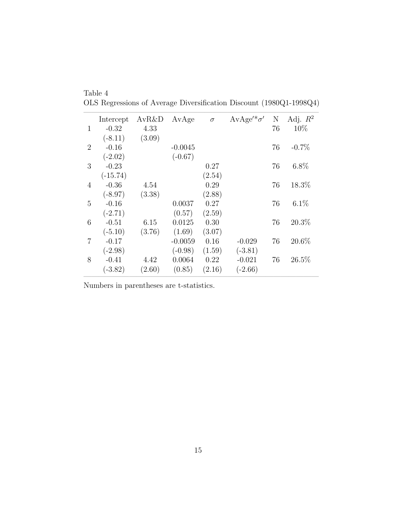|                | Intercept  | $AvR\&D$ | AvAge     | $\sigma$ | $AvAge'^*\sigma'$ | N  | Adj. $R^2$ |
|----------------|------------|----------|-----------|----------|-------------------|----|------------|
| 1              | $-0.32$    | 4.33     |           |          |                   | 76 | 10%        |
|                | $(-8.11)$  | (3.09)   |           |          |                   |    |            |
| $\overline{2}$ | $-0.16$    |          | $-0.0045$ |          |                   | 76 | $-0.7\%$   |
|                | $(-2.02)$  |          | $(-0.67)$ |          |                   |    |            |
| 3              | $-0.23$    |          |           | 0.27     |                   | 76 | $6.8\%$    |
|                | $(-15.74)$ |          |           | (2.54)   |                   |    |            |
| $\overline{4}$ | $-0.36$    | 4.54     |           | 0.29     |                   | 76 | 18.3%      |
|                | $(-8.97)$  | (3.38)   |           | (2.88)   |                   |    |            |
| 5              | $-0.16$    |          | 0.0037    | 0.27     |                   | 76 | $6.1\%$    |
|                | $(-2.71)$  |          | (0.57)    | (2.59)   |                   |    |            |
| 6              | $-0.51$    | 6.15     | 0.0125    | 0.30     |                   | 76 | 20.3%      |
|                | $(-5.10)$  | (3.76)   | (1.69)    | (3.07)   |                   |    |            |
| 7              | $-0.17$    |          | $-0.0059$ | 0.16     | $-0.029$          | 76 | 20.6%      |
|                | $(-2.98)$  |          | $(-0.98)$ | (1.59)   | $(-3.81)$         |    |            |
| 8              | $-0.41$    | 4.42     | 0.0064    | 0.22     | $-0.021$          | 76 | 26.5%      |
|                | $(-3.82)$  | (2.60)   | (0.85)    | (2.16)   | $(-2.66)$         |    |            |
|                |            |          |           |          |                   |    |            |

Table 4 OLS Regressions of Average Diversification Discount (1980Q1-1998Q4)

Numbers in parentheses are t-statistics.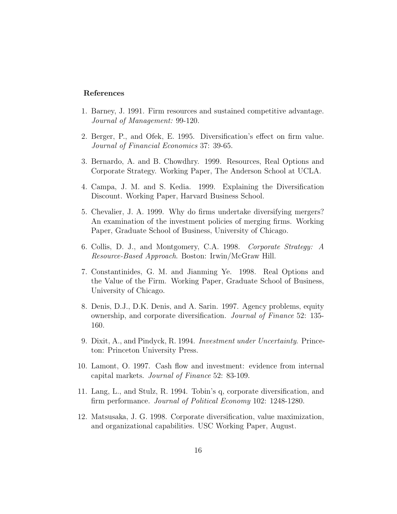#### References

- 1. Barney, J. 1991. Firm resources and sustained competitive advantage. Journal of Management: 99-120.
- 2. Berger, P., and Ofek, E. 1995. Diversification's effect on firm value. Journal of Financial Economics 37: 39-65.
- 3. Bernardo, A. and B. Chowdhry. 1999. Resources, Real Options and Corporate Strategy. Working Paper, The Anderson School at UCLA.
- 4. Campa, J. M. and S. Kedia. 1999. Explaining the Diversification Discount. Working Paper, Harvard Business School.
- 5. Chevalier, J. A. 1999. Why do firms undertake diversifying mergers? An examination of the investment policies of merging firms. Working Paper, Graduate School of Business, University of Chicago.
- 6. Collis, D. J., and Montgomery, C.A. 1998. Corporate Strategy: A Resource-Based Approach. Boston: Irwin/McGraw Hill.
- 7. Constantinides, G. M. and Jianming Ye. 1998. Real Options and the Value of the Firm. Working Paper, Graduate School of Business, University of Chicago.
- 8. Denis, D.J., D.K. Denis, and A. Sarin. 1997. Agency problems, equity ownership, and corporate diversification. *Journal of Finance* 52: 135-160.
- 9. Dixit, A., and Pindyck, R. 1994. Investment under Uncertainty. Princeton: Princeton University Press.
- 10. Lamont, O. 1997. Cash flow and investment: evidence from internal capital markets. Journal of Finance 52: 83-109.
- 11. Lang, L., and Stulz, R. 1994. Tobin's q, corporate diversification, and firm performance. Journal of Political Economy 102: 1248-1280.
- 12. Matsusaka, J. G. 1998. Corporate diversification, value maximization, and organizational capabilities. USC Working Paper, August.